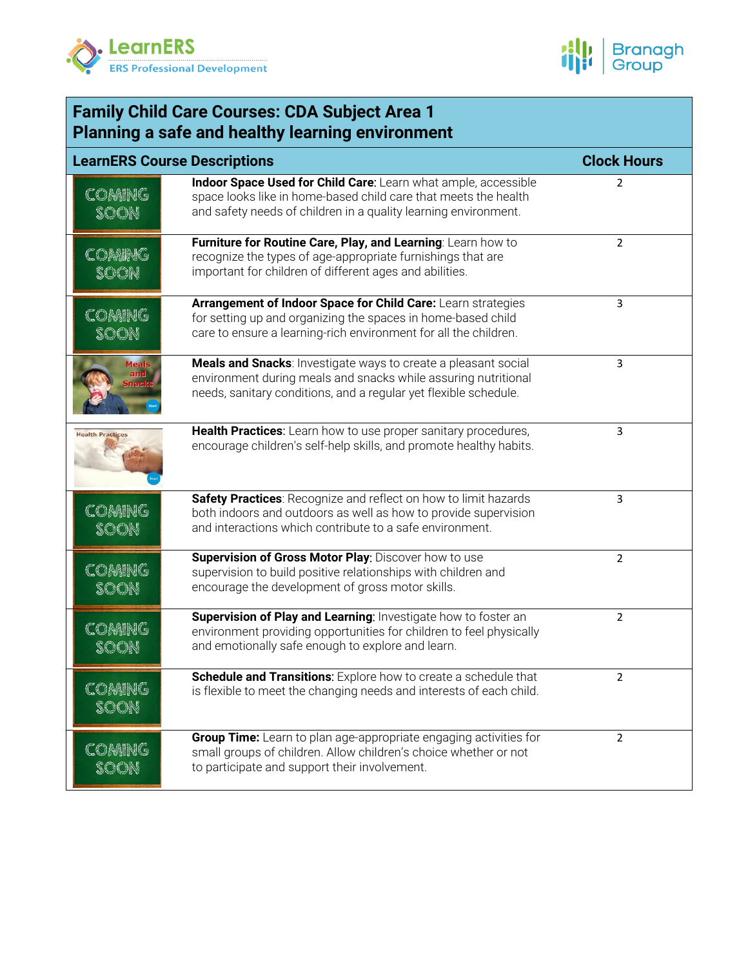



| <b>Family Child Care Courses: CDA Subject Area 1</b><br><b>Planning a safe and healthy learning environment</b> |                                                                                                                                                                                                      |                    |  |  |
|-----------------------------------------------------------------------------------------------------------------|------------------------------------------------------------------------------------------------------------------------------------------------------------------------------------------------------|--------------------|--|--|
| <b>LearnERS Course Descriptions</b>                                                                             |                                                                                                                                                                                                      | <b>Clock Hours</b> |  |  |
| COMING<br>SOON                                                                                                  | Indoor Space Used for Child Care: Learn what ample, accessible<br>space looks like in home-based child care that meets the health<br>and safety needs of children in a quality learning environment. | 2                  |  |  |
| COMING<br>SOON                                                                                                  | Furniture for Routine Care, Play, and Learning: Learn how to<br>recognize the types of age-appropriate furnishings that are<br>important for children of different ages and abilities.               | 2                  |  |  |
| COMING<br>SOON                                                                                                  | Arrangement of Indoor Space for Child Care: Learn strategies<br>for setting up and organizing the spaces in home-based child<br>care to ensure a learning-rich environment for all the children.     | 3                  |  |  |
| <b>Meals</b>                                                                                                    | Meals and Snacks: Investigate ways to create a pleasant social<br>environment during meals and snacks while assuring nutritional<br>needs, sanitary conditions, and a regular yet flexible schedule. | 3                  |  |  |
| <b>Health Practices</b>                                                                                         | Health Practices: Learn how to use proper sanitary procedures,<br>encourage children's self-help skills, and promote healthy habits.                                                                 | 3                  |  |  |
| COMING<br>SOON                                                                                                  | Safety Practices: Recognize and reflect on how to limit hazards<br>both indoors and outdoors as well as how to provide supervision<br>and interactions which contribute to a safe environment.       | 3                  |  |  |
| COMING<br>SOON                                                                                                  | Supervision of Gross Motor Play: Discover how to use<br>supervision to build positive relationships with children and<br>encourage the development of gross motor skills.                            | 2                  |  |  |
| COMING<br>SOON                                                                                                  | Supervision of Play and Learning: Investigate how to foster an<br>environment providing opportunities for children to feel physically<br>and emotionally safe enough to explore and learn.           | $\overline{2}$     |  |  |
| COMING<br>SOON                                                                                                  | Schedule and Transitions: Explore how to create a schedule that<br>is flexible to meet the changing needs and interests of each child.                                                               | $\overline{2}$     |  |  |
| COMING<br>SOON                                                                                                  | Group Time: Learn to plan age-appropriate engaging activities for<br>small groups of children. Allow children's choice whether or not<br>to participate and support their involvement.               | $\overline{2}$     |  |  |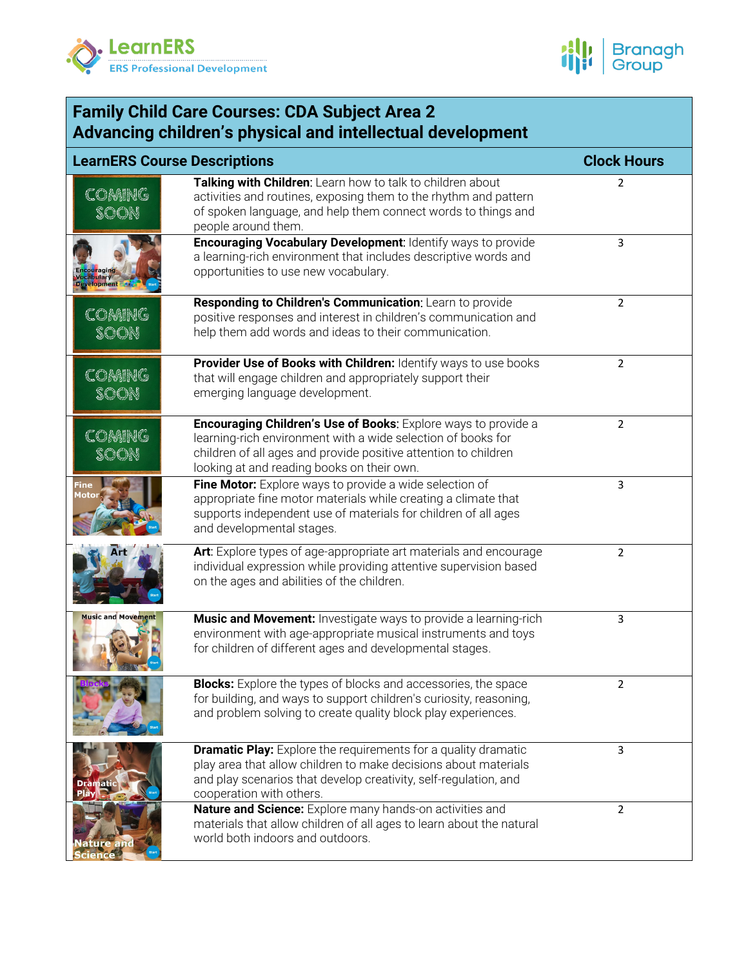



| <b>Family Child Care Courses: CDA Subject Area 2</b><br>Advancing children's physical and intellectual development |                                                                                                                                                                                                                                                 |                    |  |  |
|--------------------------------------------------------------------------------------------------------------------|-------------------------------------------------------------------------------------------------------------------------------------------------------------------------------------------------------------------------------------------------|--------------------|--|--|
| <b>LearnERS Course Descriptions</b>                                                                                |                                                                                                                                                                                                                                                 | <b>Clock Hours</b> |  |  |
| COMING<br>SOON                                                                                                     | Talking with Children: Learn how to talk to children about<br>activities and routines, exposing them to the rhythm and pattern<br>of spoken language, and help them connect words to things and<br>people around them.                          | 2                  |  |  |
| Encouraging<br>Vocabulary<br>Development                                                                           | <b>Encouraging Vocabulary Development: Identify ways to provide</b><br>a learning-rich environment that includes descriptive words and<br>opportunities to use new vocabulary.                                                                  | 3                  |  |  |
| COMING<br>SOON                                                                                                     | Responding to Children's Communication: Learn to provide<br>positive responses and interest in children's communication and<br>help them add words and ideas to their communication.                                                            | $\overline{2}$     |  |  |
| COMING<br>SOON                                                                                                     | Provider Use of Books with Children: Identify ways to use books<br>that will engage children and appropriately support their<br>emerging language development.                                                                                  | 2                  |  |  |
| COMING<br>SOON                                                                                                     | Encouraging Children's Use of Books: Explore ways to provide a<br>learning-rich environment with a wide selection of books for<br>children of all ages and provide positive attention to children<br>looking at and reading books on their own. | $\overline{2}$     |  |  |
| Fine<br>Motc                                                                                                       | Fine Motor: Explore ways to provide a wide selection of<br>appropriate fine motor materials while creating a climate that<br>supports independent use of materials for children of all ages<br>and developmental stages.                        | 3                  |  |  |
|                                                                                                                    | Art: Explore types of age-appropriate art materials and encourage<br>individual expression while providing attentive supervision based<br>on the ages and abilities of the children.                                                            | 2                  |  |  |
| <b>Music and Movement</b>                                                                                          | Music and Movement: Investigate ways to provide a learning-rich<br>environment with age-appropriate musical instruments and toys<br>for children of different ages and developmental stages.                                                    | 3                  |  |  |
|                                                                                                                    | <b>Blocks:</b> Explore the types of blocks and accessories, the space<br>for building, and ways to support children's curiosity, reasoning,<br>and problem solving to create quality block play experiences.                                    | $\overline{2}$     |  |  |
|                                                                                                                    | <b>Dramatic Play:</b> Explore the requirements for a quality dramatic<br>play area that allow children to make decisions about materials<br>and play scenarios that develop creativity, self-regulation, and<br>cooperation with others.        | 3                  |  |  |
|                                                                                                                    | Nature and Science: Explore many hands-on activities and<br>materials that allow children of all ages to learn about the natural<br>world both indoors and outdoors.                                                                            | $\overline{2}$     |  |  |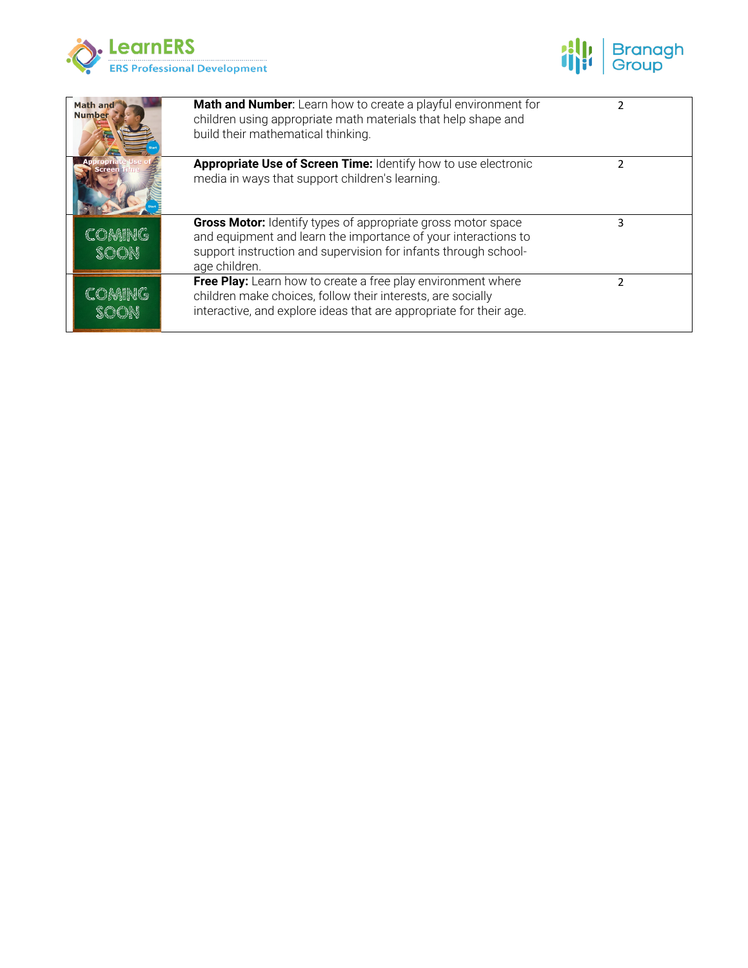



| <b>Math and</b><br><b>Number</b> | Math and Number: Learn how to create a playful environment for<br>children using appropriate math materials that help shape and<br>build their mathematical thinking.                                              |   |
|----------------------------------|--------------------------------------------------------------------------------------------------------------------------------------------------------------------------------------------------------------------|---|
|                                  | <b>Appropriate Use of Screen Time: Identify how to use electronic</b><br>media in ways that support children's learning.                                                                                           |   |
| COMING<br>SOON                   | Gross Motor: Identify types of appropriate gross motor space<br>and equipment and learn the importance of your interactions to<br>support instruction and supervision for infants through school-<br>age children. | 3 |
| COMING<br>SOON                   | Free Play: Learn how to create a free play environment where<br>children make choices, follow their interests, are socially<br>interactive, and explore ideas that are appropriate for their age.                  |   |